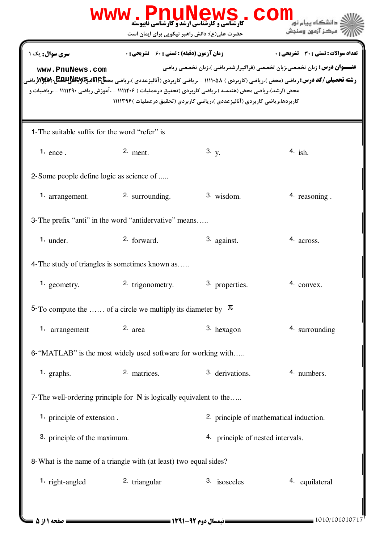|                                               | <b>www.PnuNewS</b><br><b>کارشناسی و کارشناسی ارشد و کارشناسی ناپیوسته</b><br>حضرت علی(ع): دانش راهبر نیکویی برای ایمان است                                    |                                                                            | COM<br>مركز آزمون وسن                                                                                                                                                                                                                                                                 |
|-----------------------------------------------|---------------------------------------------------------------------------------------------------------------------------------------------------------------|----------------------------------------------------------------------------|---------------------------------------------------------------------------------------------------------------------------------------------------------------------------------------------------------------------------------------------------------------------------------------|
| سری سوال: یک ۱<br>www.PnuNews.com             | <b>زمان آزمون (دقیقه) : تستی : 60 گشریحی : 0</b><br>محض (ارشد)،ریاضی محض (هندسه )،ریاضی کاربردی (تحقیق درعملیات ) ۱۱۱۱۲۰۶ - ،آموزش ریاضی ۱۱۱۱۲۹۰ - ،ریاضیات و | کاربردها،ریاضی کاربردی (آنالیزعددی )،ریاضی کاربردی (تحقیق درعملیات )۱۱۱۳۹۶ | تعداد سوالات : تستي : 30 - تشريحي : 0<br><b>عنـــوان درس:</b> زبان تخصصی،زبان تخصصی (فراگیرارشدریاضی )،زبان تخصصی ریاضی<br><b>رشته تحصیلی/کد درس: ر</b> یاضی (محض )،ریاضی (کاربردی ) ۵۸۰ا۱۱۱ - ،ریاضی کاربردی (آنالیزعددی )،ریاضی مح <b>ظ۲۶بالیکاپالیکاپالیکاپالیکاپالیکاپالیکاپا</b> |
| 1-The suitable suffix for the word "refer" is |                                                                                                                                                               |                                                                            |                                                                                                                                                                                                                                                                                       |
| 1. $ence$ .                                   | $2.$ ment.                                                                                                                                                    | 3. y.                                                                      | 4. ish.                                                                                                                                                                                                                                                                               |
| 2-Some people define logic as science of      |                                                                                                                                                               |                                                                            |                                                                                                                                                                                                                                                                                       |
| 1. arrangement.                               | 2. surrounding.                                                                                                                                               | $3.$ wisdom.                                                               | 4. reasoning.                                                                                                                                                                                                                                                                         |
|                                               | 3- The prefix "anti" in the word "antidervative" means                                                                                                        |                                                                            |                                                                                                                                                                                                                                                                                       |
| $1.$ under.                                   | 2. forward.                                                                                                                                                   | 3. against.                                                                | 4. across.                                                                                                                                                                                                                                                                            |
|                                               | 4- The study of triangles is sometimes known as                                                                                                               |                                                                            |                                                                                                                                                                                                                                                                                       |
| <b>1.</b> geometry.                           | 2. trigonometry.                                                                                                                                              | 3. properties.                                                             | 4. convex.                                                                                                                                                                                                                                                                            |
|                                               | 5-To compute the  of a circle we multiply its diameter by $\pi$                                                                                               |                                                                            |                                                                                                                                                                                                                                                                                       |
| <b>1.</b> arrangement                         | 2. area                                                                                                                                                       | 3. hexagon                                                                 | 4. surrounding                                                                                                                                                                                                                                                                        |
|                                               | 6-"MATLAB" is the most widely used software for working with                                                                                                  |                                                                            |                                                                                                                                                                                                                                                                                       |
| 1. graphs.                                    | 2. matrices.                                                                                                                                                  | 3. derivations.                                                            | 4. numbers.                                                                                                                                                                                                                                                                           |
|                                               | 7- The well-ordering principle for N is logically equivalent to the                                                                                           |                                                                            |                                                                                                                                                                                                                                                                                       |
| 1. principle of extension.                    |                                                                                                                                                               | 2. principle of mathematical induction.                                    |                                                                                                                                                                                                                                                                                       |
| 3. principle of the maximum.                  |                                                                                                                                                               | 4. principle of nested intervals.                                          |                                                                                                                                                                                                                                                                                       |
|                                               | 8- What is the name of a triangle with (at least) two equal sides?                                                                                            |                                                                            |                                                                                                                                                                                                                                                                                       |
| <b>1.</b> right-angled                        | 2. triangular                                                                                                                                                 | 3. isosceles                                                               | 4. equilateral                                                                                                                                                                                                                                                                        |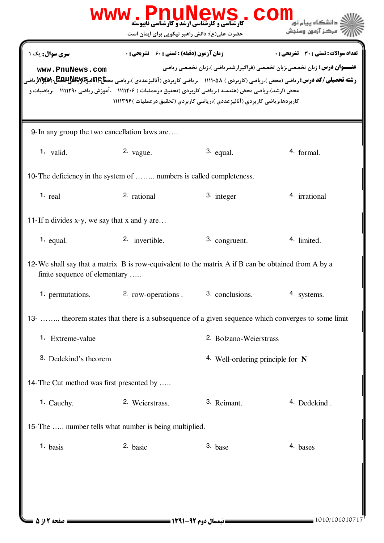|                                                                                                                                                                                                                                                                                                                                                                                                                                                                                                                                                                                                    | WWW . PnuNews<br>حضرت علی(ع): دانش راهبر نیکویی برای ایمان است                                    |                                  | COI<br>دانشگاه سام نو<br>' مرڪز آزمون وسنڊش |  |
|----------------------------------------------------------------------------------------------------------------------------------------------------------------------------------------------------------------------------------------------------------------------------------------------------------------------------------------------------------------------------------------------------------------------------------------------------------------------------------------------------------------------------------------------------------------------------------------------------|---------------------------------------------------------------------------------------------------|----------------------------------|---------------------------------------------|--|
| <b>زمان آزمون (دقیقه) : تستی : 60 ٪ تشریحی : 0</b><br><b>تعداد سوالات : تستی : 30 ٪ تشریحی : 0</b><br><b>سری سوال :</b> یک ۱<br><b>عنـــوان درس:</b> زبان تخصصی،زبان تخصصی (فراگیرارشدریاضی )،زبان تخصصی ریاضی<br>www.PnuNews.com<br><b>رشته تحصیلی/کد درس: ریاضی (محض )،ریاضی (کاربردی ) ۱۱۱۱۰۵۸ - ،ریاضی کاربردی (آنالیزعددی )،ریاضی مح<del>ظ</del>کاتالیکاپاتالیکاپاتالیکاپاتا ایل ۱۷۷۷/۲۰ ریاضی</b><br>محض (ارشد)،ریاضی محض (هندسه )،ریاضی کاربردی (تحقیق درعملیات ) ۱۱۱۱۲۰۶ - ،آموزش ریاضی ۱۱۱۱۲۹۰ - ،ریاضیات و<br>کاربردها،ریاضی کاربردی (آنالیزعددی )،ریاضی کاربردی (تحقیق درعملیات )۱۱۱۳۹۶ |                                                                                                   |                                  |                                             |  |
| 9-In any group the two cancellation laws are                                                                                                                                                                                                                                                                                                                                                                                                                                                                                                                                                       |                                                                                                   |                                  |                                             |  |
| $1.$ valid.                                                                                                                                                                                                                                                                                                                                                                                                                                                                                                                                                                                        | 2. $vague.$                                                                                       | 3. equal.                        | 4. formal.                                  |  |
| 10-The deficiency in the system of  numbers is called completeness.                                                                                                                                                                                                                                                                                                                                                                                                                                                                                                                                |                                                                                                   |                                  |                                             |  |
| $1.$ real                                                                                                                                                                                                                                                                                                                                                                                                                                                                                                                                                                                          | 2. rational                                                                                       | 3. integer                       | 4. irrational                               |  |
| 11-If n divides x-y, we say that x and y are                                                                                                                                                                                                                                                                                                                                                                                                                                                                                                                                                       |                                                                                                   |                                  |                                             |  |
| $1.$ equal.                                                                                                                                                                                                                                                                                                                                                                                                                                                                                                                                                                                        | 2. invertible.                                                                                    | 3. congruent.                    | 4. limited.                                 |  |
| 12-We shall say that a matrix B is row-equivalent to the matrix A if B can be obtained from A by a<br>finite sequence of elementary                                                                                                                                                                                                                                                                                                                                                                                                                                                                |                                                                                                   |                                  |                                             |  |
| <b>1.</b> permutations.                                                                                                                                                                                                                                                                                                                                                                                                                                                                                                                                                                            | 2. row-operations . 3. conclusions.                                                               |                                  | 4. systems.                                 |  |
|                                                                                                                                                                                                                                                                                                                                                                                                                                                                                                                                                                                                    | 13-  theorem states that there is a subsequence of a given sequence which converges to some limit |                                  |                                             |  |
| 1. Extreme-value                                                                                                                                                                                                                                                                                                                                                                                                                                                                                                                                                                                   |                                                                                                   | 2. Bolzano-Weierstrass           |                                             |  |
| 3. Dedekind's theorem                                                                                                                                                                                                                                                                                                                                                                                                                                                                                                                                                                              |                                                                                                   | 4. Well-ordering principle for N |                                             |  |
| 14-The Cut method was first presented by                                                                                                                                                                                                                                                                                                                                                                                                                                                                                                                                                           |                                                                                                   |                                  |                                             |  |
| 1. Cauchy.                                                                                                                                                                                                                                                                                                                                                                                                                                                                                                                                                                                         | 2. Weierstrass.                                                                                   | 3. Reimant.                      | 4. Dedekind.                                |  |
| 15-The  number tells what number is being multiplied.                                                                                                                                                                                                                                                                                                                                                                                                                                                                                                                                              |                                                                                                   |                                  |                                             |  |
| $1.$ basis                                                                                                                                                                                                                                                                                                                                                                                                                                                                                                                                                                                         | 2. basic                                                                                          | 3. base                          | 4. bases                                    |  |
|                                                                                                                                                                                                                                                                                                                                                                                                                                                                                                                                                                                                    |                                                                                                   |                                  |                                             |  |
|                                                                                                                                                                                                                                                                                                                                                                                                                                                                                                                                                                                                    |                                                                                                   |                                  |                                             |  |
|                                                                                                                                                                                                                                                                                                                                                                                                                                                                                                                                                                                                    |                                                                                                   |                                  |                                             |  |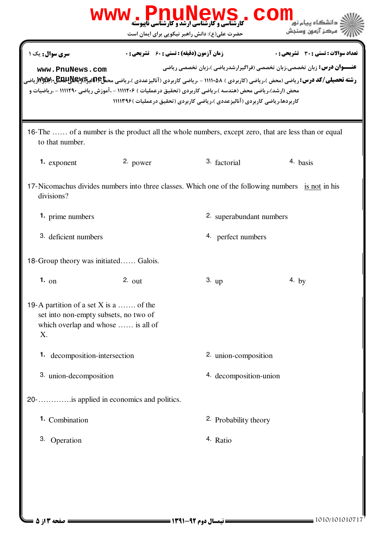|                                                                                                                                                                     |                    | WWW.DnuNews<br>حضرت علی(ع): دانش راهبر نیکویی برای ایمان است | COI                                                                          | مركز آزمون وسنجش                                                                                                               |
|---------------------------------------------------------------------------------------------------------------------------------------------------------------------|--------------------|--------------------------------------------------------------|------------------------------------------------------------------------------|--------------------------------------------------------------------------------------------------------------------------------|
| سری سوال: یک ۱                                                                                                                                                      |                    | <b>زمان آزمون (دقیقه) : تستی : 60 ٪ تشریحی : 0</b>           |                                                                              | <b>تعداد سوالات : تستی : 30 ٪ تشریحی : 0</b><br><b>عنـــوان درس:</b> زبان تخصصی،زبان تخصصی (فراگیرارشدریاضی )،زبان تخصصی ریاضی |
| www.PnuNews.com<br><b>رشته تحصیلی/کد درس: ر</b> یاضی (محض )،ریاضی (کاربردی ) ۵۸۰ا۱۱۱ - ،ریاضی کاربردی (آنالیزعددی )،ریاضی مح <b>تاعآتالیجگلالاللهای «Ww</b> y، یاضی |                    |                                                              |                                                                              |                                                                                                                                |
| محض (ارشد)،ریاضی محض (هندسه )،ریاضی کاربردی (تحقیق درعملیات ) ۱۱۱۲۰۶ - ،آموزش ریاضی ۱۱۱۱۲۹۰ - ،ریاضیات و                                                            |                    |                                                              | کاربردها،ریاضی کاربردی (آنالیزعددی )،ریاضی کاربردی (تحقیق درعملیات )۱۱۱۳۹۶ ( |                                                                                                                                |
| 16-The  of a number is the product all the whole numbers, except zero, that are less than or equal<br>to that number.                                               |                    |                                                              |                                                                              |                                                                                                                                |
| 1. exponent                                                                                                                                                         | 2. power           |                                                              | 3. factorial                                                                 | 4. basis                                                                                                                       |
| 17-Nicomachus divides numbers into three classes. Which one of the following numbers is not in his<br>divisions?                                                    |                    |                                                              |                                                                              |                                                                                                                                |
| <b>1.</b> prime numbers                                                                                                                                             |                    |                                                              | 2. superabundant numbers                                                     |                                                                                                                                |
| 3. deficient numbers                                                                                                                                                |                    |                                                              | 4. perfect numbers                                                           |                                                                                                                                |
| 18-Group theory was initiated Galois.                                                                                                                               |                    |                                                              |                                                                              |                                                                                                                                |
| $1.$ on                                                                                                                                                             | 2. $_{\text{out}}$ | $3.$ up                                                      |                                                                              | 4. by                                                                                                                          |
| 19-A partition of a set X is a  of the<br>set into non-empty subsets, no two of<br>which overlap and whose  is all of<br>X.                                         |                    |                                                              |                                                                              |                                                                                                                                |
| <b>1.</b> decomposition-intersection                                                                                                                                |                    |                                                              | 2. union-composition                                                         |                                                                                                                                |
| 3. union-decomposition                                                                                                                                              |                    |                                                              | 4. decomposition-union                                                       |                                                                                                                                |
| 20 -     is applied in economics and politics.                                                                                                                      |                    |                                                              |                                                                              |                                                                                                                                |
| 1. Combination                                                                                                                                                      |                    |                                                              | 2. Probability theory                                                        |                                                                                                                                |
| 3. Operation                                                                                                                                                        |                    | 4. Ratio                                                     |                                                                              |                                                                                                                                |
|                                                                                                                                                                     |                    |                                                              |                                                                              |                                                                                                                                |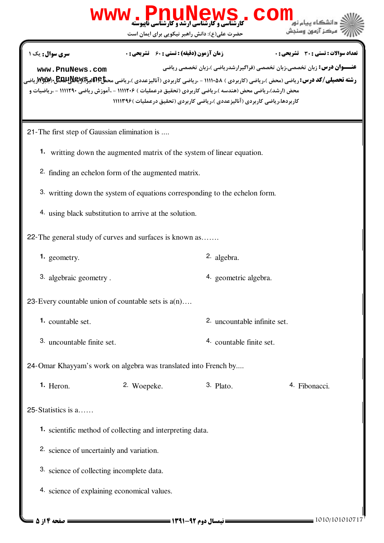|                                              | <b>www.PnuNews</b><br>حضرت علی(ع): دانش راهبر نیکویی برای ایمان است                                                                                            | <b>کارشناسی و کارشناسی ارشد و کارشناسی ناپیوسته</b>                          | مركز آزمون وسنجش                                                                                                                                                                                                                                                                         |
|----------------------------------------------|----------------------------------------------------------------------------------------------------------------------------------------------------------------|------------------------------------------------------------------------------|------------------------------------------------------------------------------------------------------------------------------------------------------------------------------------------------------------------------------------------------------------------------------------------|
| <b>سری سوال :</b> یک ۱<br>www.PnuNews.com    | <b>زمان آزمون (دقیقه) : تستی : 60 ٪ تشریحی : 0</b><br>محض (ارشد)،ریاضی محض (هندسه )،ریاضی کاربردی (تحقیق درعملیات ) ۱۱۱۲۰۶ - ،آموزش ریاضی ۱۱۱۱۲۹۰ - ،ریاضیات و | کاربردها،ریاضی کاربردی (آنالیزعددی )،ریاضی کاربردی (تحقیق درعملیات )۱۱۱۳۹۶ ( | تعداد سوالات : تستي : 30 ٪ تشريحي : 0<br><b>عنـــوان درس:</b> زبان تخصصي،زبان تخصصي (فراگيرارشدرياضي )،زبان تخصصي رياضي<br><b>رشته تحصیلی/کد درس: ر</b> یاضی (محض )،ریاضی (کاربردی ) ۵۸×۱۱۱۱ - ،ریاضی کاربردی (آنالیزعددی )،ریاضی مح <b>تاعآبالیکاپالیکاپالیکاپالیکاپالیکاپالیکاپالی</b> |
| 21-The first step of Gaussian elimination is |                                                                                                                                                                |                                                                              |                                                                                                                                                                                                                                                                                          |
|                                              | <b>1.</b> writting down the augmented matrix of the system of linear equation.                                                                                 |                                                                              |                                                                                                                                                                                                                                                                                          |
|                                              | 2. finding an echelon form of the augmented matrix.                                                                                                            |                                                                              |                                                                                                                                                                                                                                                                                          |
|                                              | 3. writting down the system of equations corresponding to the echelon form.                                                                                    |                                                                              |                                                                                                                                                                                                                                                                                          |
|                                              | 4. using black substitution to arrive at the solution.                                                                                                         |                                                                              |                                                                                                                                                                                                                                                                                          |
|                                              | 22-The general study of curves and surfaces is known as                                                                                                        |                                                                              |                                                                                                                                                                                                                                                                                          |
| 1. geometry.                                 |                                                                                                                                                                | 2. algebra.                                                                  |                                                                                                                                                                                                                                                                                          |
| 3. algebraic geometry.                       |                                                                                                                                                                | 4. geometric algebra.                                                        |                                                                                                                                                                                                                                                                                          |
|                                              | 23-Every countable union of countable sets is $a(n)$                                                                                                           |                                                                              |                                                                                                                                                                                                                                                                                          |
| 1. countable set.                            |                                                                                                                                                                | 2. uncountable infinite set.                                                 |                                                                                                                                                                                                                                                                                          |
| 3. uncountable finite set.                   |                                                                                                                                                                | 4. countable finite set.                                                     |                                                                                                                                                                                                                                                                                          |
|                                              | 24-Omar Khayyam's work on algebra was translated into French by                                                                                                |                                                                              |                                                                                                                                                                                                                                                                                          |
| 1. Heron.                                    | 2. Woepeke.                                                                                                                                                    | $3.$ Plato.                                                                  | 4. Fibonacci.                                                                                                                                                                                                                                                                            |
| 25-Statistics is a                           |                                                                                                                                                                |                                                                              |                                                                                                                                                                                                                                                                                          |
|                                              | 1. scientific method of collecting and interpreting data.                                                                                                      |                                                                              |                                                                                                                                                                                                                                                                                          |
| 2. science of uncertainly and variation.     |                                                                                                                                                                |                                                                              |                                                                                                                                                                                                                                                                                          |
| 3. science of collecting incomplete data.    |                                                                                                                                                                |                                                                              |                                                                                                                                                                                                                                                                                          |
|                                              | 4. science of explaining economical values.                                                                                                                    |                                                                              |                                                                                                                                                                                                                                                                                          |
| = صفحه ۱۴ز ۵ =                               |                                                                                                                                                                |                                                                              | 1010/101010717                                                                                                                                                                                                                                                                           |